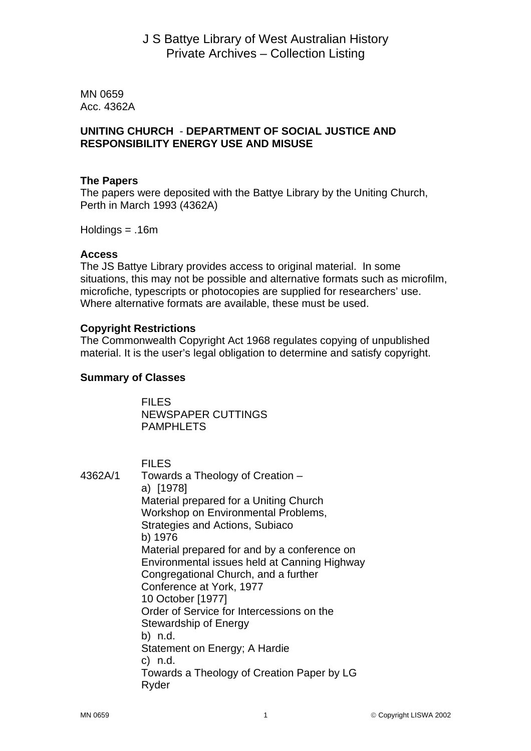MN 0659 Acc. 4362A

### **UNITING CHURCH** - **DEPARTMENT OF SOCIAL JUSTICE AND RESPONSIBILITY ENERGY USE AND MISUSE**

### **The Papers**

The papers were deposited with the Battye Library by the Uniting Church, Perth in March 1993 (4362A)

Holdings = .16m

#### **Access**

The JS Battye Library provides access to original material. In some situations, this may not be possible and alternative formats such as microfilm, microfiche, typescripts or photocopies are supplied for researchers' use. Where alternative formats are available, these must be used.

### **Copyright Restrictions**

The Commonwealth Copyright Act 1968 regulates copying of unpublished material. It is the user's legal obligation to determine and satisfy copyright.

### **Summary of Classes**

 FILES NEWSPAPER CUTTINGS PAMPHLETS

 FILES 4362A/1 Towards a Theology of Creation – a) [1978] Material prepared for a Uniting Church Workshop on Environmental Problems, Strategies and Actions, Subiaco b) 1976 Material prepared for and by a conference on Environmental issues held at Canning Highway Congregational Church, and a further Conference at York, 1977 10 October [1977] Order of Service for Intercessions on the Stewardship of Energy b) n.d. Statement on Energy; A Hardie c) n.d. Towards a Theology of Creation Paper by LG Ryder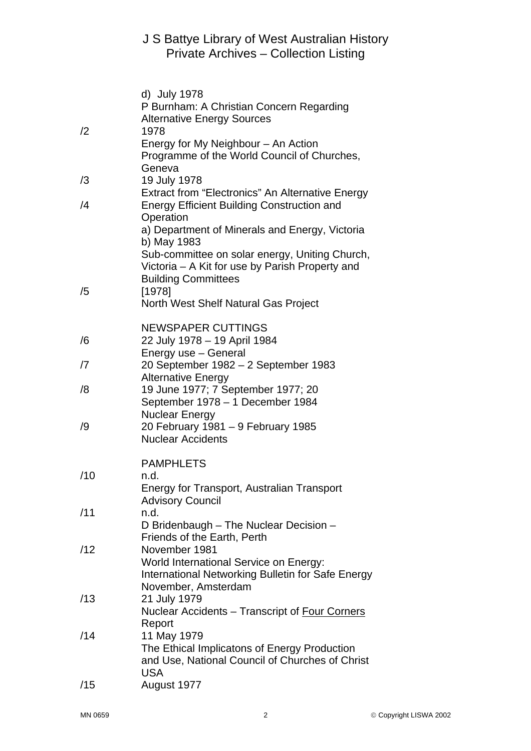# J S Battye Library of West Australian History Private Archives – Collection Listing

|            | d) July 1978                                                                  |
|------------|-------------------------------------------------------------------------------|
|            | P Burnham: A Christian Concern Regarding                                      |
| /2         | <b>Alternative Energy Sources</b><br>1978                                     |
|            | Energy for My Neighbour - An Action                                           |
|            | Programme of the World Council of Churches,                                   |
|            | Geneva                                                                        |
| /3         | 19 July 1978                                                                  |
|            | Extract from "Electronics" An Alternative Energy                              |
| /4         | <b>Energy Efficient Building Construction and</b>                             |
|            | Operation                                                                     |
|            | a) Department of Minerals and Energy, Victoria                                |
|            | b) May 1983                                                                   |
|            | Sub-committee on solar energy, Uniting Church,                                |
|            | Victoria – A Kit for use by Parish Property and<br><b>Building Committees</b> |
| /5         | [1978]                                                                        |
|            | North West Shelf Natural Gas Project                                          |
|            |                                                                               |
| /6<br>/7   | <b>NEWSPAPER CUTTINGS</b>                                                     |
|            | 22 July 1978 - 19 April 1984                                                  |
|            | Energy use - General                                                          |
|            | 20 September 1982 - 2 September 1983                                          |
| /8         | <b>Alternative Energy</b><br>19 June 1977; 7 September 1977; 20               |
|            | September 1978 - 1 December 1984                                              |
|            | <b>Nuclear Energy</b>                                                         |
| /9         | 20 February 1981 - 9 February 1985                                            |
|            | <b>Nuclear Accidents</b>                                                      |
|            |                                                                               |
|            | <b>PAMPHLETS</b>                                                              |
| /10        | n.d.                                                                          |
|            | Energy for Transport, Australian Transport                                    |
| /11        | <b>Advisory Council</b><br>n.d.                                               |
|            | D Bridenbaugh - The Nuclear Decision -                                        |
|            | Friends of the Earth, Perth                                                   |
| /12        | November 1981                                                                 |
|            | World International Service on Energy:                                        |
|            | International Networking Bulletin for Safe Energy                             |
|            | November, Amsterdam                                                           |
| /13<br>/14 | 21 July 1979                                                                  |
|            | Nuclear Accidents - Transcript of Four Corners                                |
|            | Report<br>11 May 1979                                                         |
|            | The Ethical Implicatons of Energy Production                                  |
|            | and Use, National Council of Churches of Christ                               |
|            | <b>USA</b>                                                                    |
| /15        | August 1977                                                                   |